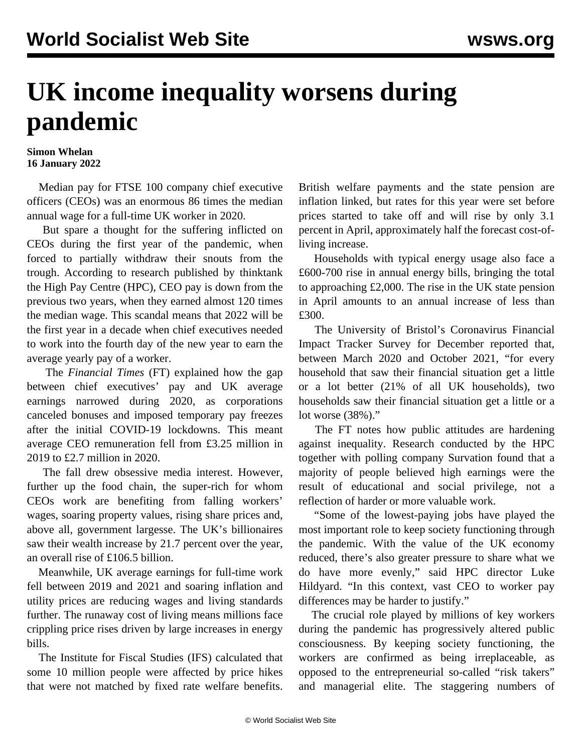## **UK income inequality worsens during pandemic**

## **Simon Whelan 16 January 2022**

 Median pay for FTSE 100 company chief executive officers (CEOs) was an enormous 86 times the median annual wage for a full-time UK worker in 2020.

 But spare a thought for the suffering inflicted on CEOs during the first year of the pandemic, when forced to partially withdraw their snouts from the trough. According to research published by thinktank the High Pay Centre (HPC), CEO pay is down from the previous two years, when they earned almost 120 times the median wage. This scandal means that 2022 will be the first year in a decade when chief executives needed to work into the fourth day of the new year to earn the average yearly pay of a worker.

 The *Financial Times* (FT) explained how the gap between chief executives' pay and UK average earnings narrowed during 2020, as corporations canceled bonuses and imposed temporary pay freezes after the initial COVID-19 lockdowns. This meant average CEO remuneration fell from £3.25 million in 2019 to £2.7 million in 2020.

 The fall drew obsessive media interest. However, further up the food chain, the super-rich for whom CEOs work are benefiting from falling workers' wages, soaring property values, rising share prices and, above all, government largesse. The UK's billionaires saw their wealth increase by 21.7 percent over the year, an overall rise of £106.5 billion.

 Meanwhile, UK average earnings for full-time work fell between 2019 and 2021 and soaring inflation and utility prices are reducing wages and living standards further. The runaway cost of living means millions face crippling price rises driven by large increases in energy bills.

 The Institute for Fiscal Studies (IFS) calculated that some 10 million people were affected by price hikes that were not matched by fixed rate welfare benefits.

British welfare payments and the state pension are inflation linked, but rates for this year were set before prices started to take off and will rise by only 3.1 percent in April, approximately half the forecast cost-ofliving increase.

 Households with typical energy usage also face a £600-700 rise in annual energy bills, bringing the total to approaching £2,000. The rise in the UK state pension in April amounts to an annual increase of less than £300.

 The University of Bristol's Coronavirus Financial Impact Tracker Survey for December reported that, between March 2020 and October 2021, "for every household that saw their financial situation get a little or a lot better (21% of all UK households), two households saw their financial situation get a little or a lot worse (38%)."

 The FT notes how public attitudes are hardening against inequality. Research conducted by the HPC together with polling company Survation found that a majority of people believed high earnings were the result of educational and social privilege, not a reflection of harder or more valuable work.

 "Some of the lowest-paying jobs have played the most important role to keep society functioning through the pandemic. With the value of the UK economy reduced, there's also greater pressure to share what we do have more evenly," said HPC director Luke Hildyard. "In this context, vast CEO to worker pay differences may be harder to justify."

 The crucial role played by millions of key workers during the pandemic has progressively altered public consciousness. By keeping society functioning, the workers are confirmed as being irreplaceable, as opposed to the entrepreneurial so-called "risk takers" and managerial elite. The staggering numbers of